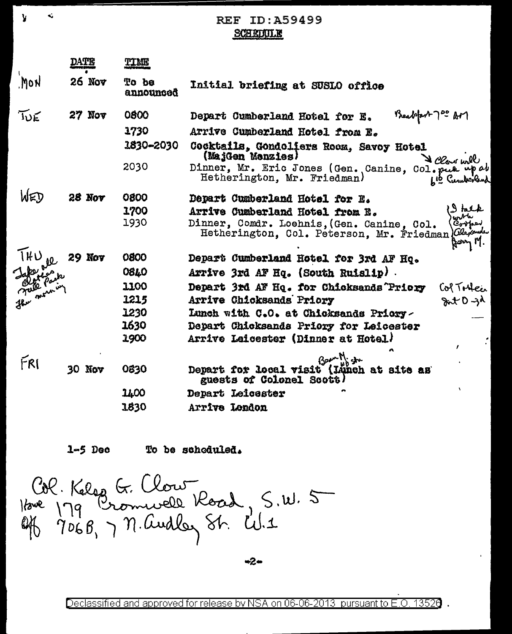**REF ID: A59499 SCHEDULE** 

|           | DATE          | <b>LIVE</b>        |                                                                                                                         |
|-----------|---------------|--------------------|-------------------------------------------------------------------------------------------------------------------------|
| Mon       | 26 Nov        | To be<br>announced | Initial briefing at SUSLO office                                                                                        |
| JUE       | $27$ Nov      | 0800               | Mealport 700 AM<br>Depart Cumberland Hotel for E.                                                                       |
|           |               | 1730               | Arrive Cumberland Hotel from E.                                                                                         |
|           |               | 1830-2030          | Cocktails, Gondoliers Room, Savoy Hotel<br>(MajGen Menzies)                                                             |
|           |               | 2030               | V Clour will<br>Dinner, Mr. Eric Jones (Gen. Canine, Col. put up at<br>Hetherington, Mr. Friedman)<br>Lis Cumberland    |
| WED       | <b>28 Nov</b> | 0800               | Depart Cumberland Hotel for E.                                                                                          |
|           |               | 1700               | I talk<br>Jur <sup>pin</sup><br>Arrive Cumberland Hotel from E.                                                         |
|           |               | 1930               | Dinner, Comdr. Loehnis, (Gen. Canine, Col.<br>Corper<br>Hetherington, Col. Peterson, Mr. Friedman) Clerowles<br>Horry M |
|           | <b>29 Nov</b> | 0800               | Depart Cumberland Hotel for 3rd AF Hq.                                                                                  |
| Jake park |               | <b>08LO</b>        | Arrive 3rd AF Hq. (South Ruislip).                                                                                      |
|           |               | 1100               | Depart 3rd AF Hq. for Chicksends Priory<br>Col Tobec                                                                    |
|           |               | 1215               | $x + D - 30$<br>Arrive Chicksands Priory                                                                                |
|           |               | 1230               | Lunch with C.O. at Chicksands Priory-                                                                                   |
|           |               | 1630               | Depart Chicksands Priory for Leicester                                                                                  |
|           |               | 1900               | Arrive Leicester (Dinner at Hotel.)<br>$\cdot$<br>$\mathbf{r}$                                                          |
|           |               |                    | Bann Might                                                                                                              |
| FRI       | $30$ Nov      | 0830               | Depart for local visit (Lunch at site as<br>guests of Colonel Scott)                                                    |
|           |               | 1400               | Depart Leicester                                                                                                        |
|           |               | 1830               | Arrive London                                                                                                           |
|           |               |                    |                                                                                                                         |

1-5 Dec To be scheduled.

Col. Kelog G. Clour<br>1200 179 Bromwell Koad, S.W. 5<br>Off 706B, 7 N. Audley St. W.1

Declassified and approved for release by NSA on 06-06-2013 pursuant to E.O. 13520.

-2-

y

 $\mathbf{v}_\mathrm{d}$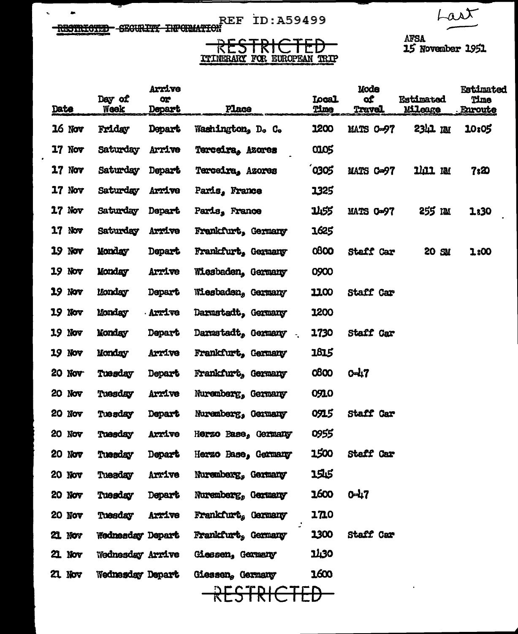Last

REF ID:A59499

 $\mathbf{v}$ 

 $\bullet$ 

AFSA<br>15 November 1951

## RESTRICTED<br>TITNERAKI FOR EUROPEAN TRIP

|      |               | Day of                  | <b>Arrive</b><br>œ |                     | <b>Local</b>    | Mode<br>of       | <b>Estimated</b> | <b>Estimated</b><br>Time |
|------|---------------|-------------------------|--------------------|---------------------|-----------------|------------------|------------------|--------------------------|
| Date |               | Week                    | <b>Depart</b>      | Place               | Time            | <b>Travel</b>    | Mileage          | Enroute                  |
|      | $16$ Nov      | Friday                  | Depart             | Washington, D. C.   | 1200            | <b>MATS 0-97</b> | 2341 RM          | 10:05                    |
| 17   | Nov           | Saturday                | Arrive             | Terceira, Azores    | 0105            |                  |                  |                          |
| 17   | Nov           | Saturday                | Depart             | Terceira, Azores    | 0305            | MATS C=97        | 1111 NM          | 7ඃ20                     |
| 17   | Nov           | Saturday                | Arrive             | Paris, France       | 1325            |                  |                  |                          |
| 17   | Nov           | Saturday                | Depart             | Paris, France       | 1455            | MATS C-97        | 255 IM           | 1:30                     |
| 17   | NOV           | Saturday                | Arrive             | Frankfurt, Germany  | 1625            |                  |                  |                          |
| 19   | Nov           | Monday                  | <b>Depart</b>      | Frankfurt, Germany  | 0800            | <b>Staff Car</b> | 20 SM            | 1:00                     |
| 19   | Nov           | Monday                  | Arrive             | Wiesbaden, Germany  | 0900            |                  |                  |                          |
| 19   | Nov           | Monday                  | Depart             | Wiesbaden, Germany  | 11,00           | Staff Car        |                  |                          |
| 19   | Nov           | Monday                  | <b>Arrive</b>      | Darmstadt, Germany  | 1200            |                  |                  |                          |
| 19   | Nov           | <b>Monday</b>           | Depart             | Darmstadt, Germany  | 1730            | Staff Car        |                  |                          |
| 19   | <b>Nov</b>    | Monday                  | Arrive             | Frankfurt, Germany  | 1815            |                  |                  |                          |
|      | 20 Nov        | Tuesday                 | <b>Depart</b>      | Frankfurt, Germany  | 0800            | $0 - 17$         |                  |                          |
| 20   | Nov           | Tuesday                 | Arrive             | Nuremberg, Germany  | 0910            |                  |                  |                          |
| 20.  | Nov           | Tuesday                 | <b>Depart</b>      | Nuremberg, Germany  | 0915            | Staff Car        |                  |                          |
| 20   | Nov           | Tuesday                 | Arrive             | Herzo Base, Germany | 0955            |                  |                  |                          |
| 20   | Nov           | Tuesday                 | Depart             | Herzo Base, Germany | 1500            | Staff Car        |                  |                          |
|      | 20 Nov        | Tuesday                 | Arrive             | Nuremberg, Germany  | 1545            |                  |                  |                          |
|      | 20 Nov        | Tuesday                 | <b>Depart</b>      | Nuremberg, Germany  | $1600$ $0 - 17$ |                  |                  |                          |
|      | 20 Nov        | Tuesday                 | Axxive             | Frankfurt, Germany  | 1710            |                  |                  |                          |
|      | <b>21 Nov</b> | Wednesday Depart        |                    | Frankfurt, Germany  | 1300            | Staff Car        |                  |                          |
|      | 21 Nov        | Wednesday Arrive        |                    | Giessen, Germany    | 1430            |                  |                  |                          |
|      | 21 Nov        | <b>Wednesday Depart</b> |                    | Giessen, Germany    | 1600            |                  |                  |                          |
|      |               |                         |                    | RESTRICTED          |                 |                  |                  |                          |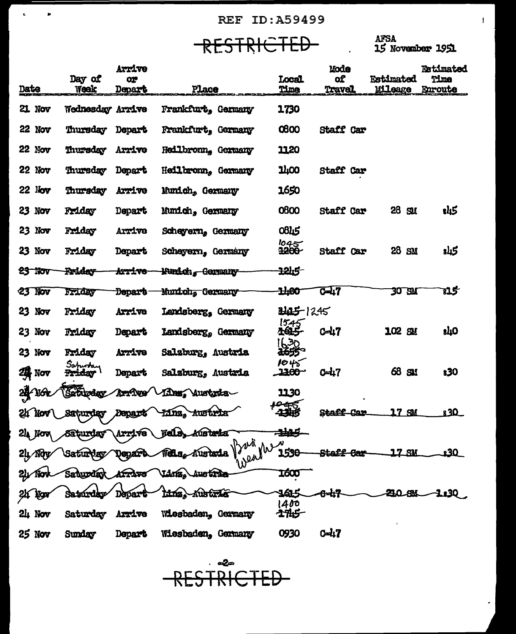**REF ID:A59499** 

RESTRICTED AFSA AFSA

 $\mathbf{r}^{\prime}$  ,  $\mathbf{r}^{\prime}$  ,  $\mathbf{r}^{\prime}$ 

 $\mathbf{L}$ 

|      |               |                    | Arrive            |                                  |                                  | <b>Mode</b>         |                    | <b>Retimated</b> |
|------|---------------|--------------------|-------------------|----------------------------------|----------------------------------|---------------------|--------------------|------------------|
|      |               | Day of             | œ                 |                                  | Local                            | of                  | <b>Estimated</b>   | Time             |
| Date |               | Week               | <b>Depart</b>     | Place                            | Time                             | <b>Travel</b>       | <b>Mileage</b>     | Enroute          |
|      | 21 Nov        | Wednesday Arrive   |                   | Frankfurt, Germany               | 1730                             |                     |                    |                  |
|      | 22 Nov        | Thursday           | <b>Depart</b>     | Frankfurt, Germany               | 0600                             | <b>Staff Car</b>    |                    |                  |
|      | $22$ Nov      | Thursday           | Arrive            | Heilbronn, Germany               | 1120                             |                     |                    |                  |
|      | 22 Nov        | Thursday           | Depart            | Heilbronn, Germany               | <b>1400</b>                      | Staff Car           |                    |                  |
|      | <b>22 Nov</b> | Thursday           | Arrive            | Munich, Germany                  | 1650                             |                     |                    |                  |
|      | 23 Nov        | Friday             | Depart            | Munich, Germany                  | 0800                             | Staff Car           | 28<br>$\mathbf{S}$ | t45              |
|      | 23 Nov        | Friday             | Arrive            | Scheyern, Germany                | 0845                             |                     |                    |                  |
|      | $23$ Nov      | Friday             | Depart            | Scheyern, Germany                | $\frac{1045}{3200}$              | Staff Car           | 28<br>SM           | كبلاء            |
|      | $23$ Nov      | Prider             | <del>Arrive</del> | <del>Funich, Germany</del>       | 1215                             |                     |                    |                  |
|      | 23 Nov        | Friday             | <b>Depart</b>     | Munich, Germany                  | 1400                             | <b>C-47</b>         | 30 S.M             | 815              |
|      | 23 Nov        | Friday             | Arrive            | Landsberg, Germany               | 3425-1245                        |                     |                    |                  |
|      | 23 Nov        | Friday             | Depart            | Landsberg, Germany               | $15.45$<br>$16.5$                | $0 - 17$            | 102<br>SJ.         | <b>slıO</b>      |
|      | 23 Nov        | Friday<br>Safurday | Arrive            | Salaburg, Austria                | 1630<br><del>165</del> 5<br>1045 |                     |                    |                  |
|      | 24 Nov        | Friday             | Depart            | Salzburg, Austria                | 2200                             | <b>C-47</b>         | 68<br>SM.          | 830              |
|      | 24/16k        | Sztürday           | Arrîve            | Linz, Austria                    | 1130                             |                     |                    |                  |
|      | 24 Nov        | Saturday           | Depart            | <del>Austria</del><br>minz,      |                                  | Staff<br><u>Com</u> | 17 <sub>5M</sub>   | 830              |
|      | $24$ Nov      | Saturday Arrive    |                   | Weils,<br>Austria<br>12nd        | æ.                               |                     |                    |                  |
|      | $2\mu$ Nov    |                    |                   | weather<br>Austria               | 1530                             |                     | <u> 17 SK</u>      |                  |
|      |               | Sahurdar           | Krive             | $\text{Liars}_\theta$<br>Austria | 1600                             |                     |                    |                  |
|      |               | Satúrdáv           | Depart            | linz, Austria                    | 1615<br>1400                     | <del>0-47</del>     | <b>29.0.8%</b>     | 1130             |
|      | $24$ Nov      | Saturday           | Arrive            | Wiesbaden, Germany               | <b>1745</b>                      |                     |                    |                  |
|      | 25 Nov        | Sunday             | Depart            | Wiesbaden, Germany               | 0930                             | $0 - 47$            |                    |                  |

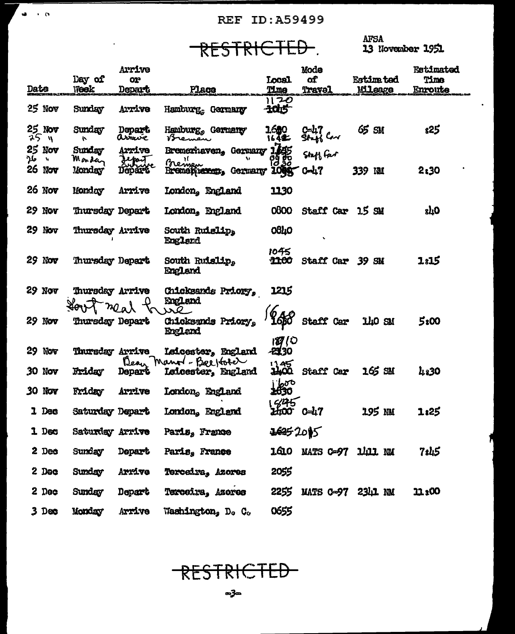**REF ID: A59499** 

RESTRICTED.

.<br>.ea → (s.

 $\overline{a}$ 

AFSA<br>13 November 1951

|                |                         |                  | <b>Arrive</b>          |                                       |                     | Mode                   |                   | <b>Estimated</b> |
|----------------|-------------------------|------------------|------------------------|---------------------------------------|---------------------|------------------------|-------------------|------------------|
|                |                         | Day of           | OP.                    |                                       | <b>Local</b>        | of.                    | <b>Estime ted</b> | Time             |
| <b>Date</b>    |                         | <b>Week</b>      | <b>Depart</b>          | Place                                 | Time<br>1120        | Travel                 | <b>Mileage</b>    | <b>Enroute</b>   |
| 25 Nov         |                         | Sunday           | Arrive                 | Hamburg, Germany                      | $-1005$             |                        |                   |                  |
| 25_<br>75 y    | Nov                     | Sunday<br>ŀ.     | Depart<br>arrive       | Hamburg, Germany<br>Bremen            | 1680<br>164年        | C-47<br>SI-46 C-1      | 65 SM             | s25              |
| 25 Nov<br>مکر^ | $\mathbf{v}_\mathrm{f}$ | Sunday<br>Mondan | Arrive                 | Bremerhaven, Germany                  | 瓣                   | Staff far              |                   |                  |
| <b>26 Nov</b>  |                         | Monday           | Jepan<br><b>Depart</b> | Breinger<br>Rrementeren, Germany      | 1099 C-47           |                        | 339 IM            | 2:30             |
| 26 Nov         |                         | Monday           | Arrive                 | London, England                       | 1130                |                        |                   |                  |
| 29 Nov         |                         | Thursday Depart  |                        | London, England                       | 0800                | Staff Car 15 SM        |                   | 8TO              |
| $29$ Nov       |                         | Thursday Arrive  |                        | South Ruislip,<br>England             | 0840                |                        |                   |                  |
| $29$ Nov       |                         | Thursday Depart  |                        | South Ruislip,<br>England             | 1045<br><b>1100</b> | Staff Car              | 39<br>SV          | 1815             |
| 29 Nov         |                         | Thursday Arrive  | mar                    | Chicksands Priory,<br>England         | 1215                |                        |                   |                  |
| 29 Nov         |                         | Thursday Depart  |                        | ضمر<br>Chicksends Priory,<br>England  | 6 л<br><b>16B0</b>  | Staff Car              | iho sm            | 5ι00             |
| 29.            | Nov                     | Thursday Arrive  |                        | <b>Leicester, England</b>             | $\frac{17}{130}$    |                        |                   |                  |
| 30 Nov         |                         | Friday           | Bean<br>Depart         | Mano - Beeforer<br>Leicester, England | 125                 | Staff Car              | 165 SM            | 4830             |
| 30 Nov         |                         | Friday           | Arrive                 | London, England                       | eggo<br>1630        |                        |                   |                  |
|                | 1 Dec                   | Saturday Depart  |                        | London, England                       | 545<br>HOO          | 0-47                   | 195 nu            | 1:25             |
|                | 1 Dec                   | Saturday Arrive  |                        | Paris, France                         | 26252015            |                        |                   |                  |
|                | 2 Dec                   | Sunday           | <b>Depart</b>          | Paris, France                         |                     | 1610 MATS C-97 1411 NM |                   | 7s45             |
|                | 2 Dec                   | Sunday           | Aryîvg                 | Terceira, Azores                      | 2055                |                        |                   |                  |
|                | 2 Dec                   | Sunday           | Depart                 | Terceira, Azores                      |                     | 2255 MATS 0-97 2341 NM |                   | <b>11:00</b>     |
|                | $3$ Dec                 | Monday           | Arrive                 | Washington, D. C.                     | 0655                |                        |                   |                  |



**ය**ික